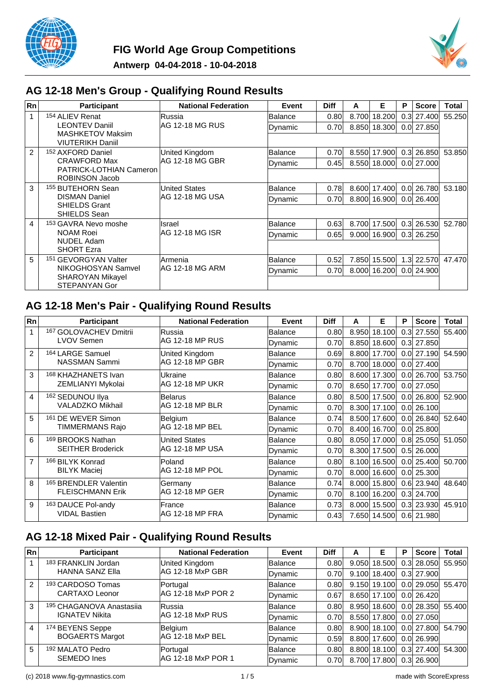



### **AG 12-18 Men's Group - Qualifying Round Results**

| Rn             | <b>Participant</b>                                 | <b>National Federation</b> | Event   | <b>Diff</b>       | A     | Е            | Р | <b>Score</b>   | <b>Total</b> |
|----------------|----------------------------------------------------|----------------------------|---------|-------------------|-------|--------------|---|----------------|--------------|
| $\mathbf{1}$   | 154 ALIEV Renat                                    | <b>Russia</b>              | Balance | 0.80              | 8.700 | 18.200       |   | $0.3$ 27.400   | 55.250       |
|                | <b>LEONTEV Daniil</b>                              | IAG 12-18 MG RUS           | Dynamic | 0.70              |       | 8.850 18.300 |   | $0.0$   27.850 |              |
|                | <b>MASHKETOV Maksim</b><br><b>VIUTERIKH Daniil</b> |                            |         |                   |       |              |   |                |              |
| $\overline{2}$ | 152 AXFORD Daniel                                  | United Kingdom             | Balance | 0.70              | 8.550 | 17.900       |   | $0.3$ 26.850   | 53.850       |
|                | <b>CRAWFORD Max</b>                                | IAG 12-18 MG GBR           | Dynamic | 0.45              |       | 8.550 18.000 |   | 0.0 27.000     |              |
|                | PATRICK-LOTHIAN Cameron<br>ROBINSON Jacob          |                            |         |                   |       |              |   |                |              |
| 3              | <sup>155</sup> BUTEHORN Sean                       | United States              | Balance | 0.78              |       | 8.600 17.400 |   | $0.0$   26.780 | 53.180       |
|                | <b>DISMAN Daniel</b>                               | IAG 12-18 MG USA           | Dynamic | 0.70              |       | 8.800 16.900 |   | $0.0$ 26.400   |              |
|                | <b>SHIELDS Grant</b><br>SHIELDS Sean               |                            |         |                   |       |              |   |                |              |
| 4              | 153 GAVRA Nevo moshe                               | Israel                     | Balance | 0.63              |       | 8.700 17.500 |   | $0.3$ 26.530   | 52.780       |
|                | <b>NOAM Roei</b>                                   | IAG 12-18 MG ISR           | Dynamic | 0.65              |       | 9.000 16.900 |   | 0.3 26.250     |              |
|                | <b>NUDEL Adam</b><br><b>SHORT Ezra</b>             |                            |         |                   |       |              |   |                |              |
| 5              | <b>GEVORGYAN Valter</b><br>151                     | lArmenia                   | Balance | 0.52              | 7.850 | 15.500       |   | 1.3 22.570     | 47.470       |
|                | NIKOGHOSYAN Samvel<br><b>SHAROYAN Mikayel</b>      | IAG 12-18 MG ARM           | Dynamic | 0.70 <sub>l</sub> |       | 8.000 16.200 |   | 0.0 24.900     |              |
|                | STEPANYAN Gor                                      |                            |         |                   |       |              |   |                |              |

### **AG 12-18 Men's Pair - Qualifying Round Results**

| Rn                      | <b>Participant</b>             | <b>National Federation</b> | Event          | <b>Diff</b> | A     | Е            | Р                | <b>Score</b>   | Total  |
|-------------------------|--------------------------------|----------------------------|----------------|-------------|-------|--------------|------------------|----------------|--------|
| 1                       | 167 GOLOVACHEV Dmitrii         | lRussia                    | <b>Balance</b> | 0.80        | 8.950 | 18.100       | 0.3 <sub>l</sub> | 27.550         | 55.400 |
|                         | <b>LVOV Semen</b>              | AG 12-18 MP RUS            | Dynamic        | 0.70        | 8.850 | 18.600       |                  | $0.3$ 27.850   |        |
| $\mathfrak{p}$          | 164 LARGE Samuel               | United Kingdom             | Balance        | 0.69        | 8.800 | 17.700       | 0.0 <sub>l</sub> | 27.190         | 54.590 |
|                         | NASSMAN Sammi                  | <b>AG 12-18 MP GBR</b>     | Dynamic        | 0.70        | 8.700 | 18.000       |                  | $0.0$   27.400 |        |
| 3                       | <sup>168</sup> KHAZHANETS Ivan | Ukraine                    | Balance        | 0.80        | 8.600 | 17.300       | 0.0 <sub>l</sub> | 26.700         | 53.750 |
|                         | ZEMLIANYI Mykolai              | AG 12-18 MP UKR            | Dynamic        | 0.70        | 8.650 | 17.700       |                  | $0.0$ 27.050   |        |
| $\overline{\mathbf{4}}$ | 162 SEDUNOU IIya               | Belarus                    | <b>Balance</b> | 0.80        | 8.500 | 17.500       | 0.0 <sub>l</sub> | 26.800         | 52,900 |
|                         | VALADZKO Mikhail               | AG 12-18 MP BLR            | Dynamic        | 0.70        | 8.300 | 17.100       |                  | $0.0$   26.100 |        |
| 5                       | 161 DE WEVER Simon             | Belgium                    | <b>Balance</b> | 0.74        | 8.500 | 17.600       |                  | $0.0$   26.840 | 52.640 |
|                         | TIMMERMANS Rajo                | <b>AG 12-18 MP BEL</b>     | Dynamic        | 0.70        | 8.400 | 16.700       |                  | $0.0$ 25.800   |        |
| 6                       | <sup>169</sup> BROOKS Nathan   | <b>United States</b>       | <b>Balance</b> | 0.80        | 8.050 | 17.000       | 0.8              | 25.050         | 51.050 |
|                         | <b>SEITHER Broderick</b>       | AG 12-18 MP USA            | Dynamic        | 0.70        |       | 8.300 17.500 |                  | $0.5$   26.000 |        |
| $\overline{7}$          | 166 BILYK Konrad               | Poland                     | lBalance       | 0.80        | 8.100 | 16.500       | 0.0 <sub>l</sub> | 25.400         | 50.700 |
|                         | <b>BILYK Maciej</b>            | <b>AG 12-18 MP POL</b>     | Dynamic        | 0.70        | 8.000 | 16.600       |                  | $0.0$   25.300 |        |
| 8                       | 165 BRENDLER Valentin          | Germany                    | <b>Balance</b> | 0.74        | 8.000 | 15.800       |                  | $0.6$ 23.940   | 48.640 |
|                         | <b>FLEISCHMANN Erik</b>        | <b>AG 12-18 MP GER</b>     | Dynamic        | 0.70        | 8.100 | 16.200       |                  | $0.3$ 24.700   |        |
| 9                       | 163 DAUCE Pol-andy             | France                     | <b>Balance</b> | 0.73        | 8.000 | 15.500       |                  | $0.3$ 23.930   | 45.910 |
|                         | <b>VIDAL Bastien</b>           | AG 12-18 MP FRA            | Dynamic        | 0.43        |       | 7.650 14.500 |                  | $0.6$ 21.980   |        |

## **AG 12-18 Mixed Pair - Qualifying Round Results**

| Rn             | <b>Participant</b>          | <b>National Federation</b> | Event    | <b>Diff</b>       | A     | Е            | Р | <b>Score</b>   | Total  |
|----------------|-----------------------------|----------------------------|----------|-------------------|-------|--------------|---|----------------|--------|
|                | 183 FRANKLIN Jordan         | United Kingdom             | Balance  | 0.80              | 9.050 | 18,500       |   | $0.3$ 28.050   | 55.950 |
|                | <b>HANNA SANZ Ella</b>      | IAG 12-18 MxP GBR          | Dynamic  | 0.70 <sub>l</sub> |       | 9.100 18.400 |   | 0.3 27.900     |        |
| $\overline{2}$ | 193 CARDOSO Tomas           | Portugal                   | lBalance | 0.80              | 9.150 | 19.100       |   | 0.0129.050     | 55.470 |
|                | <b>CARTAXO Leonor</b>       | IAG 12-18 MxP POR 2        | Dynamic  | 0.67              |       | 8.650 17.100 |   | 0.0 26.420     |        |
| 3              | 195 CHAGANOVA Anastasija    | lRussia.                   | Balance  | 0.80 <sup>1</sup> | 8.950 | 18.600       |   | $0.0$   28.350 | 55.400 |
|                | <b>IGNATEV Nikita</b>       | IAG 12-18 MxP RUS          | Dynamic  | 0.70              |       | 8.550 17.800 |   | 0.0 27.050     |        |
| 4              | 174 BEYENS Seppe            | Belgium                    | Balance  | 0.80 <sup>1</sup> |       | 8.900 18.100 |   | 0.0127.8001    | 54.790 |
|                | <b>BOGAERTS Margot</b>      | IAG 12-18 MxP BEL          | Dynamic  | 0.59              |       | 8.800 17.600 |   | 0.0 26.990     |        |
| 5              | <sup>192</sup> MALATO Pedro | Portugal                   | lBalance | 0.80              |       | 8.800 18.100 |   | $0.3$ 27.400   | 54.300 |
|                | <b>SEMEDO</b> Ines          | AG 12-18 MxP POR 1         | Dynamic  | 0.70              |       | 8.700 17.800 |   | 0.3 26.900     |        |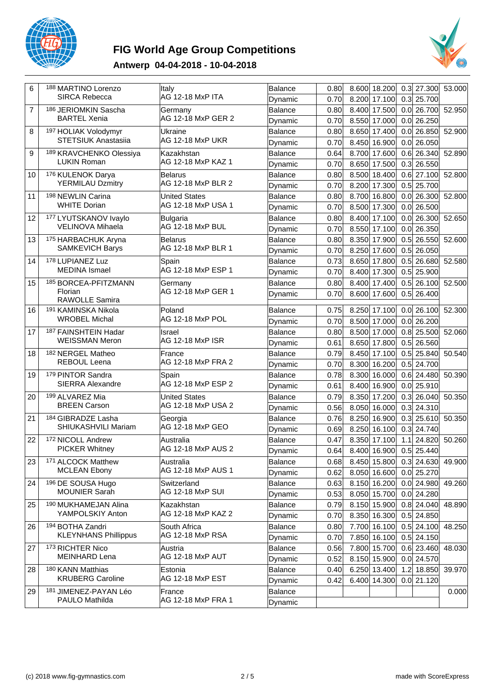

# **FIG World Age Group Competitions**



### **Antwerp 04-04-2018 - 10-04-2018**

| 6              | 188 MARTINO Lorenzo<br><b>SIRCA Rebecca</b>        | <b>Italy</b><br>AG 12-18 MxP ITA           | Balance<br>Dynamic        | 0.80<br>0.70 | 8.600 18.200<br>8.200<br>17.100    | 0.3        | $0.3$ 27.300<br>25.700       | 53.000 |
|----------------|----------------------------------------------------|--------------------------------------------|---------------------------|--------------|------------------------------------|------------|------------------------------|--------|
| $\overline{7}$ | 186 JERIOMKIN Sascha<br><b>BARTEL Xenia</b>        | Germany<br>AG 12-18 MxP GER 2              | Balance<br>Dynamic        | 0.80<br>0.70 | 8.400 17.500<br>8.550 17.000       |            | $0.0$ 26.700<br>$0.0$ 26.250 | 52.950 |
| 8              | 197 HOLIAK Volodymyr<br><b>STETSIUK Anastasiia</b> | Ukraine<br>AG 12-18 MxP UKR                | <b>Balance</b>            | 0.80<br>0.70 | 8.650<br>17.400<br>8.450 16.900    | 0.0        | 26.850<br>$0.0$ 26.050       | 52.900 |
| 9              | 189 KRAVCHENKO Olessiya<br><b>LUKIN Roman</b>      | Kazakhstan<br>AG 12-18 MxP KAZ 1           | Dynamic<br><b>Balance</b> | 0.64         | 8.700 17.600                       | 0.6        | 26.340                       | 52.890 |
| 10             | 176 KULENOK Darya<br><b>YERMILAU Dzmitry</b>       | Belarus<br>AG 12-18 MxP BLR 2              | Dynamic<br>Balance        | 0.70<br>0.80 | 8.650 17.500<br>8.500 18.400       | 0.3        | 26.550<br>$0.6$ 27.100       | 52.800 |
| 11             | 198 NEWLIN Carina<br><b>WHITE Dorian</b>           | <b>United States</b><br>AG 12-18 MxP USA 1 | Dynamic<br><b>Balance</b> | 0.70<br>0.80 | 8.200 17.300<br>8.700<br>16.800    | 0.0        | $0.5$ 25.700<br>26.300       | 52.800 |
| 12             | 177 LYUTSKANOV Ivaylo                              | Bulgaria<br>AG 12-18 MxP BUL               | Dynamic<br><b>Balance</b> | 0.70<br>0.80 | 8.500 17.300<br>8.400 17.100       | 0.0        | $0.0$ 26.500<br>26.300       | 52.650 |
| 13             | VELINOVA Mihaela<br>175 HARBACHUK Aryna            | Belarus                                    | Dynamic<br>Balance        | 0.70<br>0.80 | 8.550 17.100<br>8.350 17.900       | 0.0        | 26.350<br>$0.5$ 26.550       | 52.600 |
| 14             | <b>SAMKEVICH Barys</b><br>178 LUPIANEZ Luz         | AG 12-18 MxP BLR 1<br>Spain                | Dynamic<br><b>Balance</b> | 0.70<br>0.73 | 8.250 17.600<br>8.650<br>17.800    | 0.5<br>0.5 | 26.050<br>26.680             | 52.580 |
| 15             | <b>MEDINA</b> Ismael<br>185 BORCEA-PFITZMANN       | AG 12-18 MxP ESP 1<br>Germany              | Dynamic<br>Balance        | 0.70<br>0.80 | 8.400 17.300<br>8.400 17.400       | 0.5        | $0.5$ 25.900<br>26.100       | 52.500 |
|                | Florian<br>RAWOLLE Samira                          | AG 12-18 MxP GER 1                         | Dynamic                   | 0.70         | 8.600<br>17.600                    | 0.5        | 26.400                       |        |
| 16             | 191 KAMINSKA Nikola<br><b>WROBEL Michal</b>        | Poland<br>AG 12-18 MxP POL                 | <b>Balance</b><br>Dynamic | 0.75<br>0.70 | 8.250 17.100<br>8.500<br>17.000    | 0.0        | $0.0$ 26.100<br>26.200       | 52.300 |
| 17             | 187 FAINSHTEIN Hadar<br><b>WEISSMAN Meron</b>      | Israel<br>AG 12-18 MxP ISR                 | <b>Balance</b><br>Dynamic | 0.80<br>0.61 | 8.500 17.000<br>8.650 17.800       | 0.5        | $0.8$ 25.500<br>26.560       | 52.060 |
| 18             | 182 NERGEL Matheo<br>REBOUL Leena                  | France<br>AG 12-18 MxP FRA 2               | Balance<br>Dynamic        | 0.79<br>0.70 | 8.450 17.100<br>8.300 16.200       | 0.5        | 25.840<br>$0.5$ 24.700       | 50.540 |
| 19             | 179 PINTOR Sandra<br>SIERRA Alexandre              | Spain<br>AG 12-18 MxP ESP 2                | <b>Balance</b><br>Dynamic | 0.78<br>0.61 | 8.300<br>16.000<br>8.400<br>16.900 |            | $0.6$ 24.480<br>$0.0$ 25.910 | 50.390 |
| 20             | 199 ALVAREZ Mia<br><b>BREEN Carson</b>             | <b>United States</b><br>AG 12-18 MxP USA 2 | <b>Balance</b><br>Dynamic | 0.79<br>0.56 | 8.350 17.200<br>8.050<br>16.000    | 0.3        | $0.3$ 26.040<br>24.310       | 50.350 |
| 21             | 184 GIBRADZE Lasha<br>SHIUKASHVILI Mariam          | Georgia<br>AG 12-18 MxP GEO                | Balance                   | 0.76<br>0.69 | 8.250<br>16.900<br>8.250 16.100    | 0.3        | 25.610<br>$0.3$ 24.740       | 50.350 |
| 22             | 172 NICOLL Andrew<br><b>PICKER Whitney</b>         | Australia<br>AG 12-18 MxP AUS 2            | Dynamic<br>Balance        | 0.47         | 8.350 17.100                       |            | $1.1$ 24.820                 | 50.260 |
| 23             | 171 ALCOCK Matthew<br><b>MCLEAN Ebony</b>          | Australia<br>AG 12-18 MxP AUS 1            | Dynamic<br>Balance        | 0.64<br>0.68 | 8.400 16.900<br>8.450 15.800       |            | $0.5$ 25.440<br>$0.3$ 24.630 | 49.900 |
| 24             | 196 DE SOUSA Hugo                                  | Switzerland                                | Dynamic<br>Balance        | 0.62<br>0.63 | 8.050 16.600<br>8.150 16.200       |            | $0.0$ 25.270<br>$0.0$ 24.980 | 49.260 |
| 25             | <b>MOUNIER Sarah</b><br>190 MUKHAMEJAN Alina       | AG 12-18 MxP SUI<br>Kazakhstan             | Dynamic<br>Balance        | 0.53<br>0.79 | 8.050 15.700<br>8.150 15.900       |            | $0.0$ 24.280<br>$0.8$ 24.040 | 48.890 |
| 26             | YAMPOLSKIY Anton<br>194 BOTHA Zandri               | AG 12-18 MxP KAZ 2<br>South Africa         | Dynamic<br>Balance        | 0.70<br>0.80 | 8.350 16.300<br>7.700 16.100       |            | $0.5$ 24.850<br>$0.5$ 24.100 | 48.250 |
| 27             | <b>KLEYNHANS Phillippus</b><br>173 RICHTER Nico    | AG 12-18 MxP RSA<br>Austria                | Dynamic<br>Balance        | 0.70<br>0.56 | 7.850 16.100<br>7.800 15.700       |            | $0.5$ 24.150<br>$0.6$ 23.460 | 48.030 |
| 28             | <b>MEINHARD Lena</b><br>180 KANN Matthias          | AG 12-18 MxP AUT<br>Estonia                | Dynamic<br>Balance        | 0.52<br>0.40 | 8.150 15.900<br>6.250 13.400       |            | $0.0$ 24.570<br>1.2 18.850   | 39.970 |
| 29             | <b>KRUBERG Caroline</b><br>181 JIMENEZ-PAYAN Léo   | AG 12-18 MxP EST<br>France                 | Dynamic<br>Balance        | 0.42         | 6.400<br>14.300                    |            | $0.0$ 21.120                 | 0.000  |
|                | PAULO Mathilda                                     | AG 12-18 MxP FRA 1                         | Dynamic                   |              |                                    |            |                              |        |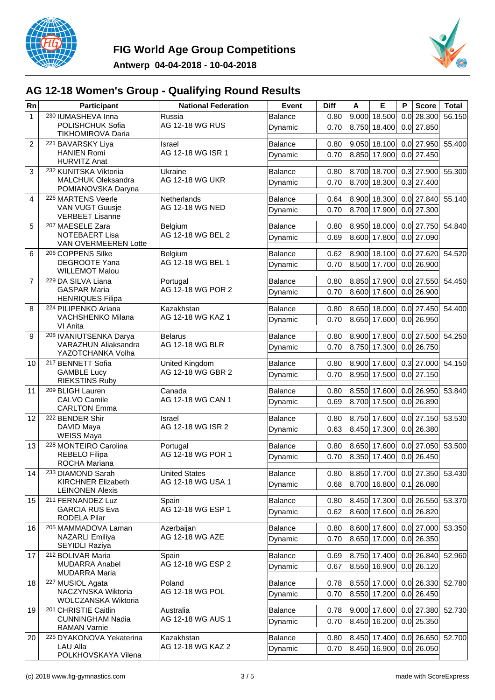



## **AG 12-18 Women's Group - Qualifying Round Results**

| Rn             | Participant                                         | <b>National Federation</b>      | Event                     | <b>Diff</b>  | A     | Е                            | P   | <b>Score</b> | Total                          |
|----------------|-----------------------------------------------------|---------------------------------|---------------------------|--------------|-------|------------------------------|-----|--------------|--------------------------------|
| $\mathbf{1}$   | 230 IUMASHEVA Inna                                  | Russia                          | Balance                   | 0.80         | 9.000 | 18.500                       | 0.0 | 28.300       | 56.150                         |
|                | POLISHCHUK Sofia<br>TIKHOMIROVA Daria               | AG 12-18 WG RUS                 | Dynamic                   | 0.70         | 8.750 | 18.400                       |     | $0.0$ 27.850 |                                |
| $\overline{2}$ | 221 BAVARSKY Liya                                   | Israel                          | <b>Balance</b>            | 0.80         |       | $9.050$ 18.100               |     | $0.0$ 27.950 | 55.400                         |
|                | <b>HANIEN Romi</b><br><b>HURVITZ Anat</b>           | AG 12-18 WG ISR 1               | Dynamic                   | 0.70         | 8.850 | 17.900                       |     | $0.0$ 27.450 |                                |
| 3              | 232 KUNITSKA Viktoriia                              | Ukraine                         | Balance                   | 0.80         |       | 8.700 18.700                 |     |              | $0.3$ 27.900 55.300            |
|                | <b>MALCHUK Oleksandra</b><br>POMIANOVSKA Daryna     | AG 12-18 WG UKR                 | Dynamic                   | 0.70         | 8.700 | 18.300                       |     | $0.3$ 27.400 |                                |
| 4              | 226 MARTENS Veerle                                  | Netherlands                     | Balance                   | 0.64         | 8.900 | 18.300                       |     | $0.0$ 27.840 | 55.140                         |
|                | <b>VAN VUGT Guusje</b><br><b>VERBEET Lisanne</b>    | AG 12-18 WG NED                 | Dynamic                   | 0.70         |       | 8.700 17.900                 |     | $0.0$ 27.300 |                                |
| 5              | 207 MAESELE Zara                                    | Belgium                         | Balance                   | 0.80         | 8.950 | 18.000                       |     | $0.0$ 27.750 | 54.840                         |
|                | <b>NOTEBAERT Lisa</b><br>VAN OVERMEEREN Lotte       | AG 12-18 WG BEL 2               | Dynamic                   | 0.69         | 8.600 | 17.800                       |     | $0.0$ 27.090 |                                |
| 6              | 206 COPPENS Silke                                   | Belgium                         | <b>Balance</b>            | 0.62         |       | 8.900 18.100                 |     | $0.0$ 27.620 | 54.520                         |
|                | <b>DEGROOTE Yana</b><br><b>WILLEMOT Malou</b>       | AG 12-18 WG BEL 1               | Dynamic                   | 0.70         |       | 8.500 17.700                 | 0.0 | 26.900       |                                |
| $\overline{7}$ | 229 DA SILVA Liana                                  | Portugal                        | Balance                   | 0.80         |       | 8.850 17.900                 |     | $0.0$ 27.550 | 54.450                         |
|                | <b>GASPAR Maria</b><br><b>HENRIQUES Filipa</b>      | AG 12-18 WG POR 2               | Dynamic                   | 0.70         | 8.600 | 17.600                       |     | $0.0$ 26.900 |                                |
| 8              | 224 PILIPENKO Ariana                                | Kazakhstan                      | <b>Balance</b>            | 0.80         | 8.650 | 18.000                       |     | $0.0$ 27.450 | 54.400                         |
|                | <b>VACHSHENKO Milana</b><br>VI Anita                | AG 12-18 WG KAZ 1               | Dynamic                   | 0.70         | 8.650 | 17.600                       | 0.0 | 26.950       |                                |
| 9              | 208 IVANIUTSENKA Darya                              | <b>Belarus</b>                  | Balance                   | 0.80         | 8.900 | 17.800                       |     | $0.0$ 27.500 | 54.250                         |
|                | <b>VARAZHUN Aliaksandra</b><br>YAZOTCHANKA Volha    | AG 12-18 WG BLR                 | Dynamic                   | 0.70         | 8.750 | 17.300                       |     | $0.0$ 26.750 |                                |
| 10             | 217 BENNETT Sofia                                   | United Kingdom                  | <b>Balance</b>            | 0.80         |       | 8.900 17.600                 |     | $0.3$ 27.000 | 54.150                         |
|                | <b>GAMBLE Lucy</b><br><b>RIEKSTINS Ruby</b>         | AG 12-18 WG GBR 2               | Dynamic                   | 0.70         | 8.950 | 17.500                       |     | $0.0$ 27.150 |                                |
| 11             | 209 BLIGH Lauren                                    | Canada                          | Balance                   | 0.80         |       | 8.550 17.600                 |     | $0.0$ 26.950 | 53.840                         |
|                | <b>CALVO Camile</b><br><b>CARLTON Emma</b>          | AG 12-18 WG CAN 1               | Dynamic                   | 0.69         |       | 8.700 17.500                 |     | $0.0$ 26.890 |                                |
| 12             | 222 BENDER Shir                                     | Israel                          | <b>Balance</b>            | 0.80         | 8.750 | 17.600                       |     | $0.0$ 27.150 | 53.530                         |
|                | DAVID Maya<br><b>WEISS Maya</b>                     | AG 12-18 WG ISR 2               | Dynamic                   | 0.63         | 8.450 | 17.300                       | 0.0 | 26.380       |                                |
| 13             | 228 MONTEIRO Carolina                               | Portugal                        | Balance                   | 0.80         |       | 8.650 17.600                 |     | $0.0$ 27.050 | 53.500                         |
|                | REBELO Filipa<br>ROCHA Mariana                      | AG 12-18 WG POR 1               | Dynamic                   | 0.70         | 8.350 | 17.400                       |     | $0.0$ 26.450 |                                |
| 14             | 233 DIAMOND Sarah                                   | <b>United States</b>            | <b>Balance</b>            | 0.80         |       |                              |     |              | 8.850 17.700 0.0 27.350 53.430 |
|                | <b>KIRCHNER Elizabeth</b><br><b>LEINONEN Alexis</b> | AG 12-18 WG USA 1               | Dynamic                   | 0.68         |       | 8.700 16.800                 |     | $0.1$ 26.080 |                                |
| 15             | 211 FERNANDEZ Luz                                   | Spain                           | Balance                   | 0.80         |       |                              |     |              | 8.450 17.300 0.0 26.550 53.370 |
|                | <b>GARCIA RUS Eva</b>                               | AG 12-18 WG ESP 1               | Dynamic                   | 0.62         |       | 8.600 17.600                 |     | $0.0$ 26.820 |                                |
| 16             | RODELA Pilar<br>205 MAMMADOVA Laman                 | Azerbaijan                      | Balance                   | 0.80         |       | 8.600 17.600                 |     |              | $0.0$ 27.000 53.350            |
|                | NAZARLI Emiliya<br>SEYIDLI Raziya                   | <b>AG 12-18 WG AZE</b>          | Dynamic                   | 0.70         |       | 8.650 17.000                 |     | $0.0$ 26.350 |                                |
| 17             | 212 BOLIVAR Maria                                   | Spain                           | Balance                   | 0.69         |       |                              |     |              | 8.750 17.400 0.0 26.840 52.960 |
|                | <b>MUDARRA Anabel</b>                               | AG 12-18 WG ESP 2               | Dynamic                   | 0.67         |       | 8.550 16.900                 |     | $0.0$ 26.120 |                                |
| 18             | <b>MUDARRA Maria</b><br>227 MUSIOL Agata            | Poland                          | Balance                   | 0.78         |       | 8.550 17.000                 |     |              | 0.0 26.330 52.780              |
|                | NACZYNSKA Wiktoria                                  | AG 12-18 WG POL                 | Dynamic                   | 0.70         |       | 8.550 17.200                 |     | $0.0$ 26.450 |                                |
|                | WOLCZANSKA Wiktoria                                 |                                 |                           |              |       | $9.000$ 17.600               |     |              | $0.0$ 27.380 52.730            |
| 19             | 201 CHRISTIE Caitlin<br><b>CUNNINGHAM Nadia</b>     | Australia<br> AG 12-18 WG AUS 1 | Balance<br>Dynamic        | 0.78<br>0.70 |       | 8.450 16.200                 |     | $0.0$ 25.350 |                                |
|                | <b>RAMAN Varnie</b>                                 |                                 |                           |              |       |                              |     |              |                                |
| 20             | <sup>225</sup> DYAKONOVA Yekaterina<br>LAU Alla     | Kazakhstan<br>AG 12-18 WG KAZ 2 | <b>Balance</b><br>Dynamic | 0.80<br>0.70 |       | 8.450 17.400<br>8.450 16.900 |     | $0.0$ 26.050 | $0.0$ 26.650 52.700            |
|                | POLKHOVSKAYA Vilena                                 |                                 |                           |              |       |                              |     |              |                                |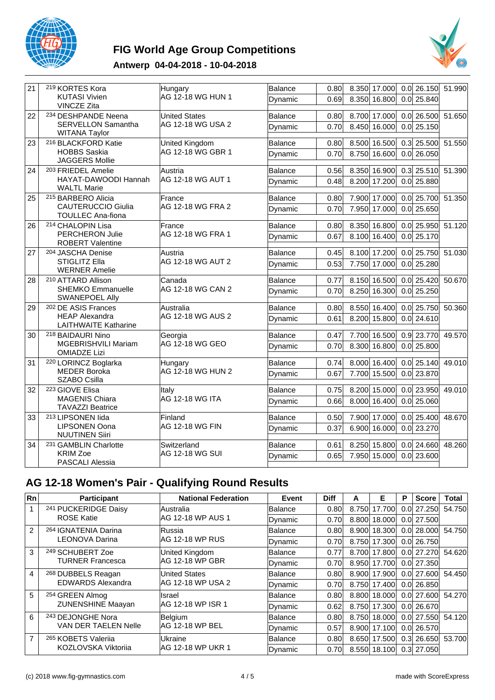

## **FIG World Age Group Competitions**



#### **Antwerp 04-04-2018 - 10-04-2018**

| 21 | 219 KORTES Kora                                       | Hungary                | Balance        | 0.80 | $0.0$   26.150<br>8.350 17.000          | 51.990 |
|----|-------------------------------------------------------|------------------------|----------------|------|-----------------------------------------|--------|
|    | <b>KUTASI Vivien</b><br><b>VINCZE Zita</b>            | AG 12-18 WG HUN 1      | Dynamic        | 0.69 | 8.350<br>16.800<br>$0.0$ 25.840         |        |
| 22 | 234 DESHPANDE Neena                                   | <b>United States</b>   | Balance        | 0.80 | 8.700 17.000<br>$\overline{0.0}$ 26.500 | 51.650 |
|    | <b>SERVELLON Samantha</b><br><b>WITANA Taylor</b>     | AG 12-18 WG USA 2      | Dynamic        | 0.70 | 8.450<br>16.000<br>$0.0$ 25.150         |        |
| 23 | 216 BLACKFORD Katie                                   | United Kingdom         | Balance        | 0.80 | $0.3$ 25.500<br>8.500 16.500            | 51.550 |
|    | <b>HOBBS Saskia</b><br>JAGGERS Mollie                 | AG 12-18 WG GBR 1      | Dynamic        | 0.70 | 8.750<br>16.600<br>$0.0$ 26.050         |        |
| 24 | 203 FRIEDEL Amelie                                    | Austria                | Balance        | 0.56 | 8.350 16.900<br>$0.3$ 25.510            | 51.390 |
|    | HAYAT-DAWOODI Hannah<br><b>WALTL Marie</b>            | AG 12-18 WG AUT 1      | Dynamic        | 0.48 | 17.200<br>$0.0$ 25.880<br>8.200         |        |
| 25 | 215 BARBERO Alicia                                    | France                 | Balance        | 0.80 | 7.900 17.000<br>$\overline{0.0}$ 25.700 | 51.350 |
|    | <b>CAUTERUCCIO Giulia</b><br><b>TOULLEC Ana-fiona</b> | AG 12-18 WG FRA 2      | Dynamic        | 0.70 | $0.0$ 25.650<br>7.950<br>17.000         |        |
| 26 | 214 CHALOPIN Lisa                                     | France                 | <b>Balance</b> | 0.80 | 8.350 16.800<br>$0.0$   25.950          | 51.120 |
|    | <b>PERCHERON Julie</b><br><b>ROBERT Valentine</b>     | AG 12-18 WG FRA 1      | Dynamic        | 0.67 | 16.400<br>$0.0$ 25.170<br>8.100         |        |
| 27 | 204 JASCHA Denise                                     | Austria                | Balance        | 0.45 | 8.100 17.200<br>$0.0$ 25.750            | 51.030 |
|    | <b>STIGLITZ Ella</b><br><b>WERNER Amelie</b>          | AG 12-18 WG AUT 2      | Dynamic        | 0.53 | 7.750<br>17.000<br>$0.0$ 25.280         |        |
| 28 | 210 ATTARD Allison                                    | Canada                 | Balance        | 0.77 | 8.150 16.500<br>$0.0$ 25.420            | 50.670 |
|    | <b>SHEMKO Emmanuelle</b><br><b>SWANEPOEL Ally</b>     | AG 12-18 WG CAN 2      | Dynamic        | 0.70 | 8.250<br>$0.0$ 25.250<br>16.300         |        |
| 29 | <sup>202</sup> DE ASIS Frances                        | Australia              | <b>Balance</b> | 0.80 | $0.0$ 25.750<br>8.550 16.400            | 50.360 |
|    | <b>HEAP Alexandra</b><br><b>LAITHWAITE Katharine</b>  | AG 12-18 WG AUS 2      | Dynamic        | 0.61 | 15.800<br>$0.0$ 24.610<br>8.200         |        |
| 30 | 218 BAIDAURI Nino                                     | Georgia                | Balance        | 0.47 | $0.9$ 23.770<br>7.700<br>16.500         | 49.570 |
|    | MGEBRISHVILI Mariam<br><b>OMIADZE Lizi</b>            | AG 12-18 WG GEO        | Dynamic        | 0.70 | 8.300<br>16.800<br>$0.0$ 25.800         |        |
| 31 | <sup>220</sup> LORINCZ Boglarka                       | Hungary                | Balance        | 0.74 | 8.000 16.400<br>$0.0$ 25.140            | 49.010 |
|    | <b>MEDER Boroka</b><br>SZABO Csilla                   | AG 12-18 WG HUN 2      | Dynamic        | 0.67 | 7.700 15.500<br>$0.0$ 23.870            |        |
| 32 | 223 GIOVE Elisa                                       | Italy                  | <b>Balance</b> | 0.75 | $0.0$ 23.950<br>8.200 15.000            | 49.010 |
|    | MAGENIS Chiara<br><b>TAVAZZI Beatrice</b>             | <b>AG 12-18 WG ITA</b> | Dynamic        | 0.66 | 16.400<br>$0.0$ 25.060<br>8.000         |        |
| 33 | 213 LIPSONEN lida                                     | Finland                | Balance        | 0.50 | 7.900 17.000<br>$0.0$ 25.400            | 48.670 |
|    | <b>LIPSONEN Oona</b><br><b>NUUTINEN Siiri</b>         | AG 12-18 WG FIN        | Dynamic        | 0.37 | $0.0$ 23.270<br>6.900<br>16.000         |        |
| 34 | 231 GAMBLIN Charlotte                                 | Switzerland            | Balance        | 0.61 | 8.250 15.800<br>$0.0$ 24.660            | 48.260 |
|    | <b>KRIM Zoe</b>                                       | AG 12-18 WG SUI        | Dynamic        | 0.65 | 7.950 15.000<br>$0.0$ 23.600            |        |
|    | PASCALI Alessia                                       |                        |                |      |                                         |        |

## **AG 12-18 Women's Pair - Qualifying Round Results**

| Rn            | <b>Participant</b>            | <b>National Federation</b> | Event          | <b>Diff</b> | A     | Е            | P                | <b>Score</b> | Total  |
|---------------|-------------------------------|----------------------------|----------------|-------------|-------|--------------|------------------|--------------|--------|
| 1             | 241 PUCKERIDGE Daisy          | lAustralia                 | <b>Balance</b> | 0.80        |       | 8.750 17.700 | 0.01             | 27.250       | 54.750 |
|               | <b>ROSE Katie</b>             | AG 12-18 WP AUS 1          | Dynamic        | 0.70        | 8.800 | 18.000       | 0.01             | 27.500       |        |
| $\mathcal{P}$ | 264 IGNATENIA Darina          | lRussia                    | lBalance       | 0.80        |       | 8.900 18.300 | 0.01             | 28,000       | 54.750 |
|               | LEONOVA Darina                | IAG 12-18 WP RUS           | Dynamic        | 0.70        |       | 8.750 17.300 |                  | 0.0 26.750   |        |
| 3             | 249 SCHUBERT Zoe              | United Kingdom             | lBalance       | 0.77        |       | 8.700 17.800 |                  | 0.0127.270   | 54.620 |
|               | <b>TURNER Francesca</b>       | IAG 12-18 WP GBR           | Dynamic        | 0.70        |       | 8.950 17.700 |                  | 0.0 27.350   |        |
| 4             | <sup>268</sup> DUBBELS Reagan | <b>United States</b>       | lBalance       | 0.80        |       | 8.900 17.900 |                  | 0.0127.6001  | 54.450 |
|               | <b>EDWARDS Alexandra</b>      | IAG 12-18 WP USA 2         | Dynamic        | 0.70        |       | 8.750 17.400 |                  | 0.0126.850   |        |
| 5             | 254 GREEN Almog               | Ilsrael                    | <b>Balance</b> | 0.80        |       | 8.800 18.000 |                  | 0.0127.6001  | 54.270 |
|               | <b>ZUNENSHINE Maayan</b>      | IAG 12-18 WP ISR 1         | Dynamic        | 0.62        | 8.750 | 17.300       | 0.0 <sub>l</sub> | 26.670       |        |
| 6             | 243 DEJONGHE Nora             | <b>Belgium</b>             | lBalance       | 0.80        |       | 8.750 18.000 |                  | 0.0127.550   | 54.120 |
|               | VAN DER TAELEN Nelle          | IAG 12-18 WP BEL           | Dynamic        | 0.57        |       | 8.900 17.100 | 0.01             | 26.570       |        |
| 7             | 265 KOBETS Valerija           | Ukraine                    | lBalance       | 0.80        |       | 8.650 17.500 |                  | $0.3$ 26.650 | 53.700 |
|               | KOZLOVSKA Viktorija           | IAG 12-18 WP UKR 1         | Dynamic        | 0.70        |       | 8.550 18.100 |                  | 0.3 27.050   |        |